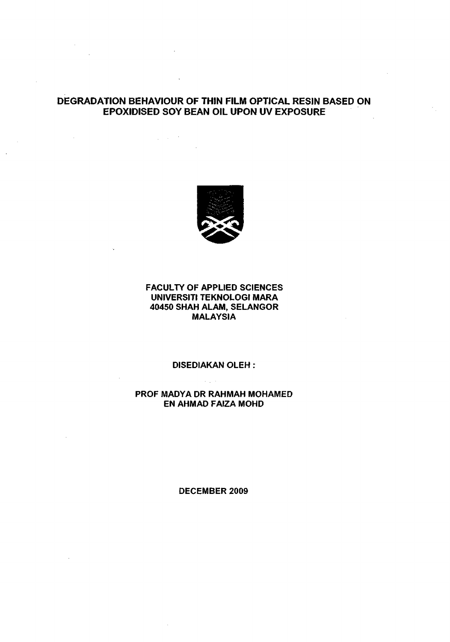# **DEGRADATION BEHAVIOUR OF THIN FILM** OPTICAL RESIN BASED ON EPOXIDISED SOY BEAN OIL UPON UV EXPOSURE

 $\Delta \sim 10^{-10}$ 



### FACULTY OF APPLIED SCIENCES UNIVERSITI TEKNOLOGI MARA 40450 SHAH ALAM, SELANGOR **MALAYSIA**

# DISEDIAKAN OLEH :

 $\mathcal{L}_{\rm{max}}$ 

### PROF MADYA DR RAHMAH MOHAMED EN AHMAD FAIZA MOHD

#### DECEMBER 2009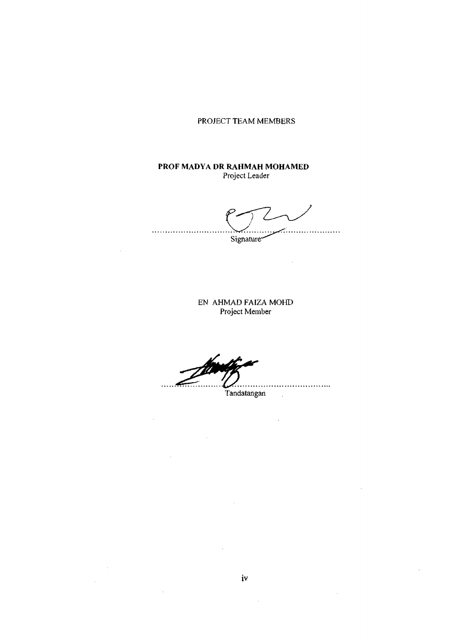PROJECT TEAM MEMBERS

### **PROF MADYA DR RAHMAH MOHAMED**  Project Leader

.<br>........ Signature

 $\hat{\mathcal{A}}$ 

EN AHMAD FAIZA MOHD Project Member

.<br>....

 $\bar{z}$ 

 $\mathcal{A}^{\prime}$ 

 $\sim 10$ 

 $\hat{\mathcal{A}}$ 

Tandatangan

 $\mathbb{R}^2$ 

J.

 $\frac{1}{2}$ 

 $\bar{z}$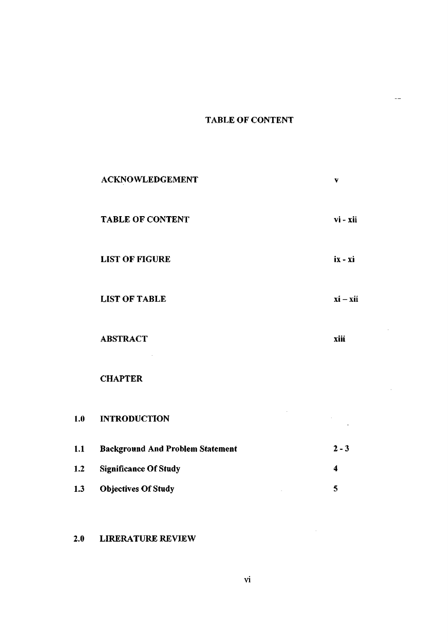# TABLE OF CONTENT

 $\mathbb{H}^{\perp}$ 

 $\hat{\mathcal{A}}$ 

 $\sim$ 

|     | <b>ACKNOWLEDGEMENT</b>                  | $\mathbf{v}$            |
|-----|-----------------------------------------|-------------------------|
|     | <b>TABLE OF CONTENT</b>                 | vi - xii                |
|     | <b>LIST OF FIGURE</b>                   | $ix - xi$               |
|     | <b>LIST OF TABLE</b>                    | $xi - xii$              |
|     | <b>ABSTRACT</b>                         | xiii                    |
|     | <b>CHAPTER</b>                          |                         |
| 1.0 | <b>INTRODUCTION</b>                     |                         |
| 1.1 | <b>Background And Problem Statement</b> | $2 - 3$                 |
| 1.2 | <b>Significance Of Study</b>            | $\overline{\mathbf{4}}$ |
| 1.3 | <b>Objectives Of Study</b>              | 5                       |

# 2.0 LIRERATURE REVIEW

 $\sim$   $\sim$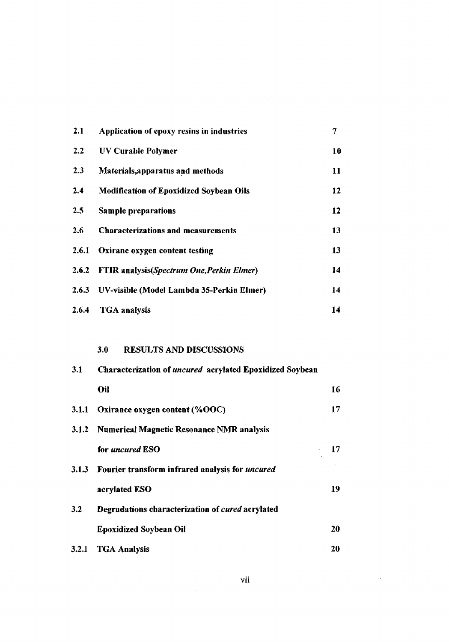| 2.1   | Application of epoxy resins in industries        | 7  |
|-------|--------------------------------------------------|----|
| 2.2   | <b>UV Curable Polymer</b>                        | 10 |
| 2.3   | Materials, apparatus and methods                 | 11 |
| 2.4   | <b>Modification of Epoxidized Soybean Oils</b>   | 12 |
| 2.5   | <b>Sample preparations</b>                       | 12 |
| 2.6   | <b>Characterizations and measurements</b>        | 13 |
| 2.6.1 | Oxirane oxygen content testing                   | 13 |
| 2.6.2 | <b>FTIR</b> analysis(Spectrum One, Perkin Elmer) | 14 |
| 2.6.3 | UV-visible (Model Lambda 35-Perkin Elmer)        | 14 |
| 2.6.4 | <b>TGA</b> analysis                              | 14 |

 $\sim$ 

# 3.0 RESULTS AND DISCUSSIONS

| 3.1          | Characterization of <i>uncured</i> acrylated Epoxidized Soybean |     |  |
|--------------|-----------------------------------------------------------------|-----|--|
|              | Oil                                                             | 16  |  |
| <b>3.1.1</b> | Oxirance oxygen content (%OOC)                                  | 17  |  |
| 3.1.2        | Numerical Magnetic Resonance NMR analysis                       |     |  |
|              | for <i>uncured</i> ESO                                          | 17. |  |
|              | 3.1.3 Fourier transform infrared analysis for <i>uncured</i>    |     |  |
|              | acrylated ESO                                                   | 19  |  |
| 3.2          | Degradations characterization of cured acrylated                |     |  |
|              | <b>Epoxidized Soybean Oil</b>                                   | 20  |  |
|              | 3.2.1 TGA Analysis                                              | 20  |  |

 $\mathcal{L}^{\text{max}}_{\text{max}}$  and  $\mathcal{L}^{\text{max}}_{\text{max}}$